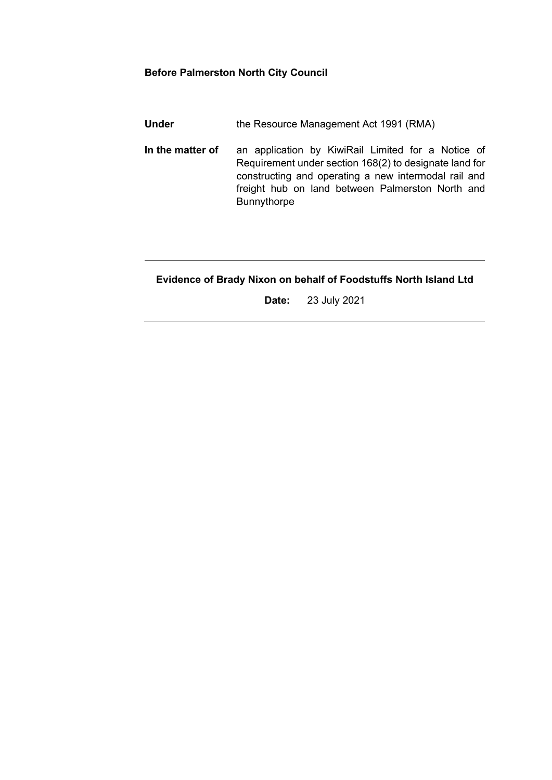#### **Before Palmerston North City Council**

**Under** the Resource Management Act 1991 (RMA)

**In the matter of** an application by KiwiRail Limited for a Notice of Requirement under section 168(2) to designate land for constructing and operating a new intermodal rail and freight hub on land between Palmerston North and Bunnythorpe

# **Evidence of Brady Nixon on behalf of Foodstuffs North Island Ltd**

**Date:** 23 July 2021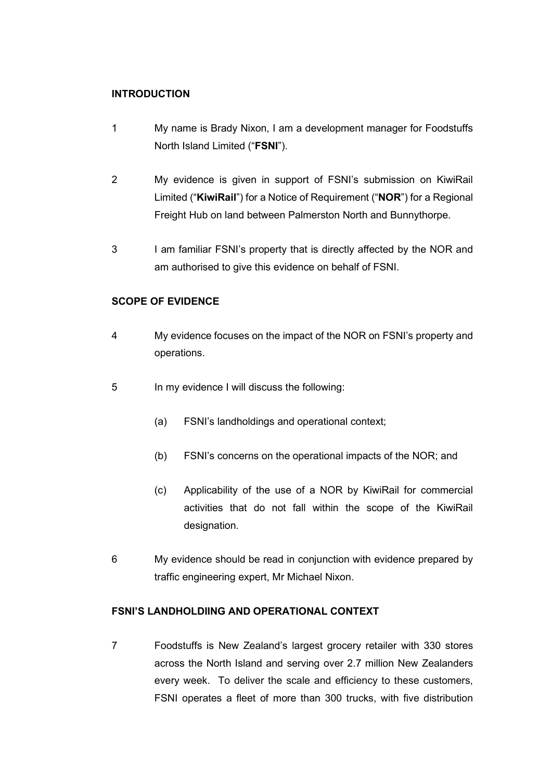### **INTRODUCTION**

- 1 My name is Brady Nixon, I am a development manager for Foodstuffs North Island Limited ("**FSNI**").
- 2 My evidence is given in support of FSNI's submission on KiwiRail Limited ("**KiwiRail**") for a Notice of Requirement ("**NOR**") for a Regional Freight Hub on land between Palmerston North and Bunnythorpe.
- 3 I am familiar FSNI's property that is directly affected by the NOR and am authorised to give this evidence on behalf of FSNI.

## **SCOPE OF EVIDENCE**

- 4 My evidence focuses on the impact of the NOR on FSNI's property and operations.
- 5 In my evidence I will discuss the following:
	- (a) FSNI's landholdings and operational context;
	- (b) FSNI's concerns on the operational impacts of the NOR; and
	- (c) Applicability of the use of a NOR by KiwiRail for commercial activities that do not fall within the scope of the KiwiRail designation.
- 6 My evidence should be read in conjunction with evidence prepared by traffic engineering expert, Mr Michael Nixon.

# **FSNI'S LANDHOLDIING AND OPERATIONAL CONTEXT**

7 Foodstuffs is New Zealand's largest grocery retailer with 330 stores across the North Island and serving over 2.7 million New Zealanders every week. To deliver the scale and efficiency to these customers, FSNI operates a fleet of more than 300 trucks, with five distribution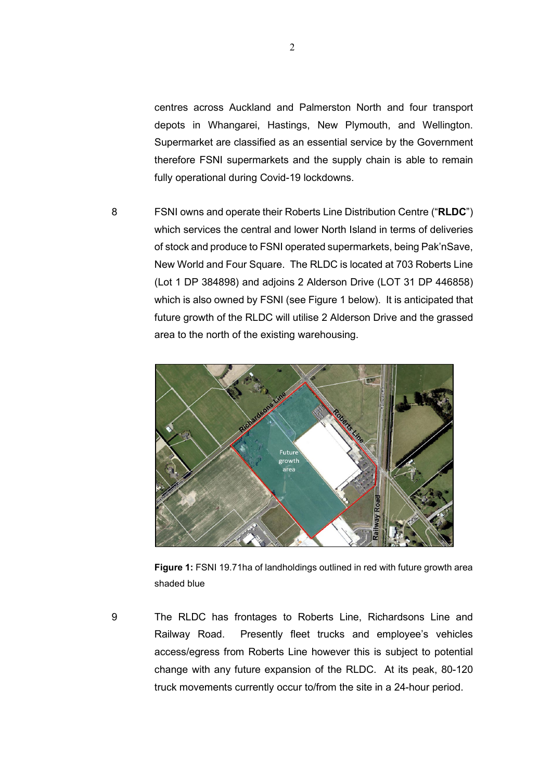centres across Auckland and Palmerston North and four transport depots in Whangarei, Hastings, New Plymouth, and Wellington. Supermarket are classified as an essential service by the Government therefore FSNI supermarkets and the supply chain is able to remain fully operational during Covid-19 lockdowns.

8 FSNI owns and operate their Roberts Line Distribution Centre ("**RLDC**") which services the central and lower North Island in terms of deliveries of stock and produce to FSNI operated supermarkets, being Pak'nSave, New World and Four Square. The RLDC is located at 703 Roberts Line (Lot 1 DP 384898) and adjoins 2 Alderson Drive (LOT 31 DP 446858) which is also owned by FSNI (see Figure 1 below). It is anticipated that future growth of the RLDC will utilise 2 Alderson Drive and the grassed area to the north of the existing warehousing.



**Figure 1:** FSNI 19.71ha of landholdings outlined in red with future growth area shaded blue

9 The RLDC has frontages to Roberts Line, Richardsons Line and Railway Road. Presently fleet trucks and employee's vehicles access/egress from Roberts Line however this is subject to potential change with any future expansion of the RLDC. At its peak, 80-120 truck movements currently occur to/from the site in a 24-hour period.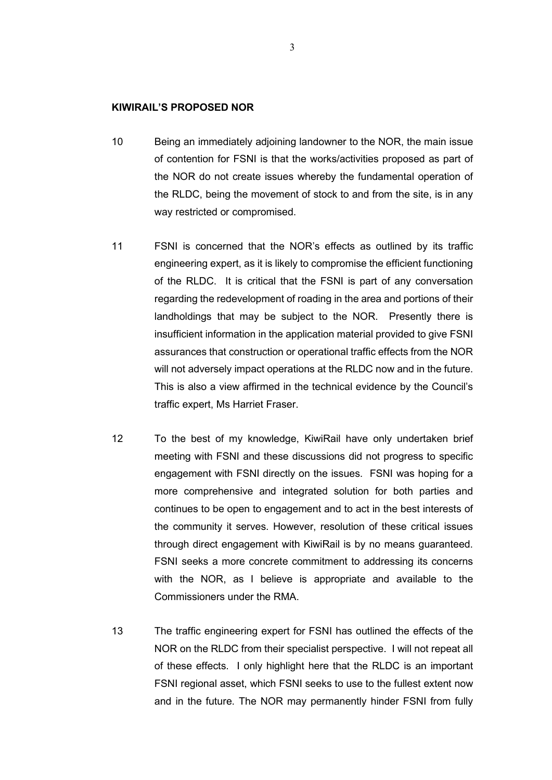#### **KIWIRAIL'S PROPOSED NOR**

- 10 Being an immediately adjoining landowner to the NOR, the main issue of contention for FSNI is that the works/activities proposed as part of the NOR do not create issues whereby the fundamental operation of the RLDC, being the movement of stock to and from the site, is in any way restricted or compromised.
- 11 FSNI is concerned that the NOR's effects as outlined by its traffic engineering expert, as it is likely to compromise the efficient functioning of the RLDC. It is critical that the FSNI is part of any conversation regarding the redevelopment of roading in the area and portions of their landholdings that may be subject to the NOR. Presently there is insufficient information in the application material provided to give FSNI assurances that construction or operational traffic effects from the NOR will not adversely impact operations at the RLDC now and in the future. This is also a view affirmed in the technical evidence by the Council's traffic expert, Ms Harriet Fraser.
- 12 To the best of my knowledge, KiwiRail have only undertaken brief meeting with FSNI and these discussions did not progress to specific engagement with FSNI directly on the issues. FSNI was hoping for a more comprehensive and integrated solution for both parties and continues to be open to engagement and to act in the best interests of the community it serves. However, resolution of these critical issues through direct engagement with KiwiRail is by no means guaranteed. FSNI seeks a more concrete commitment to addressing its concerns with the NOR, as I believe is appropriate and available to the Commissioners under the RMA.
- 13 The traffic engineering expert for FSNI has outlined the effects of the NOR on the RLDC from their specialist perspective. I will not repeat all of these effects. I only highlight here that the RLDC is an important FSNI regional asset, which FSNI seeks to use to the fullest extent now and in the future. The NOR may permanently hinder FSNI from fully